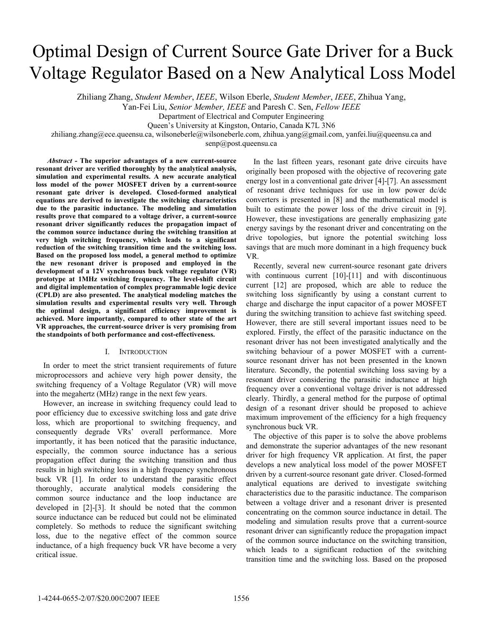# Optimal Design of Current Source Gate Driver for a Buck Voltage Regulator Based on a New Analytical Loss Model

Zhiliang Zhang, *Student Member*, *IEEE*, Wilson Eberle, *Student Member*, *IEEE*, Zhihua Yang,

Yan-Fei Liu, *Senior Member, IEEE* and Paresh C. Sen, *Fellow IEEE*

Department of Electrical and Computer Engineering

Queen's University at Kingston, Ontario, Canada K7L 3N6

zhiliang.zhang@ece.queensu.ca, wilsoneberle@wilsoneberle.com, zhihua.yang@gmail.com, yanfei.liu@queensu.ca and

senp@post.queensu.ca

*Abstract -* **The superior advantages of a new current-source resonant driver are verified thoroughly by the analytical analysis, simulation and experimental results. A new accurate analytical loss model of the power MOSFET driven by a current-source resonant gate driver is developed. Closed-formed analytical equations are derived to investigate the switching characteristics due to the parasitic inductance. The modeling and simulation results prove that compared to a voltage driver, a current-source resonant driver significantly reduces the propagation impact of the common source inductance during the switching transition at very high switching frequency, which leads to a significant reduction of the switching transition time and the switching loss. Based on the proposed loss model, a general method to optimize the new resonant driver is proposed and employed in the development of a 12V synchronous buck voltage regulator (VR) prototype at 1MHz switching frequency. The level-shift circuit and digital implementation of complex programmable logic device (CPLD) are also presented. The analytical modeling matches the simulation results and experimental results very well. Through the optimal design, a significant efficiency improvement is achieved. More importantly, compared to other state of the art VR approaches, the current-source driver is very promising from the standpoints of both performance and cost-effectiveness.** 

# I. INTRODUCTION

In order to meet the strict transient requirements of future microprocessors and achieve very high power density, the switching frequency of a Voltage Regulator (VR) will move into the megahertz (MHz) range in the next few years.

However, an increase in switching frequency could lead to poor efficiency due to excessive switching loss and gate drive loss, which are proportional to switching frequency, and consequently degrade VRs' overall performance. More importantly, it has been noticed that the parasitic inductance, especially, the common source inductance has a serious propagation effect during the switching transition and thus results in high switching loss in a high frequency synchronous buck VR [1]. In order to understand the parasitic effect thoroughly, accurate analytical models considering the common source inductance and the loop inductance are developed in [2]-[3]. It should be noted that the common source inductance can be reduced but could not be eliminated completely. So methods to reduce the significant switching loss, due to the negative effect of the common source inductance, of a high frequency buck VR have become a very critical issue.

In the last fifteen years, resonant gate drive circuits have originally been proposed with the objective of recovering gate energy lost in a conventional gate driver [4]-[7]. An assessment of resonant drive techniques for use in low power dc/dc converters is presented in [8] and the mathematical model is built to estimate the power loss of the drive circuit in [9]. However, these investigations are generally emphasizing gate energy savings by the resonant driver and concentrating on the drive topologies, but ignore the potential switching loss savings that are much more dominant in a high frequency buck VR.

Recently, several new current-source resonant gate drivers with continuous current [10]-[11] and with discontinuous current [12] are proposed, which are able to reduce the switching loss significantly by using a constant current to charge and discharge the input capacitor of a power MOSFET during the switching transition to achieve fast switching speed. However, there are still several important issues need to be explored. Firstly, the effect of the parasitic inductance on the resonant driver has not been investigated analytically and the switching behaviour of a power MOSFET with a currentsource resonant driver has not been presented in the known literature. Secondly, the potential switching loss saving by a resonant driver considering the parasitic inductance at high frequency over a conventional voltage driver is not addressed clearly. Thirdly, a general method for the purpose of optimal design of a resonant driver should be proposed to achieve maximum improvement of the efficiency for a high frequency synchronous buck VR.

The objective of this paper is to solve the above problems and demonstrate the superior advantages of the new resonant driver for high frequency VR application. At first, the paper develops a new analytical loss model of the power MOSFET driven by a current-source resonant gate driver. Closed-formed analytical equations are derived to investigate switching characteristics due to the parasitic inductance. The comparison between a voltage driver and a resonant driver is presented concentrating on the common source inductance in detail. The modeling and simulation results prove that a current-source resonant driver can significantly reduce the propagation impact of the common source inductance on the switching transition, which leads to a significant reduction of the switching transition time and the switching loss. Based on the proposed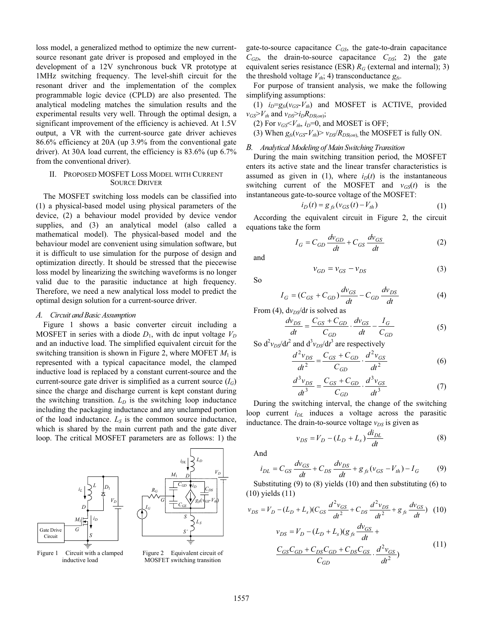loss model, a generalized method to optimize the new currentsource resonant gate driver is proposed and employed in the development of a 12V synchronous buck VR prototype at 1MHz switching frequency. The level-shift circuit for the resonant driver and the implementation of the complex programmable logic device (CPLD) are also presented. The analytical modeling matches the simulation results and the experimental results very well. Through the optimal design, a significant improvement of the efficiency is achieved. At 1.5V output, a VR with the current-source gate driver achieves 86.6% efficiency at 20A (up 3.9% from the conventional gate driver). At 30A load current, the efficiency is 83.6% (up 6.7% from the conventional driver).

## II. PROPOSED MOSFET LOSS MODEL WITH CURRENT SOURCE DRIVER

The MOSFET switching loss models can be classified into (1) a physical-based model using physical parameters of the device, (2) a behaviour model provided by device vendor supplies, and (3) an analytical model (also called a mathematical model). The physical-based model and the behaviour model are convenient using simulation software, but it is difficult to use simulation for the purpose of design and optimization directly. It should be stressed that the piecewise loss model by linearizing the switching waveforms is no longer valid due to the parasitic inductance at high frequency. Therefore, we need a new analytical loss model to predict the optimal design solution for a current-source driver.

## *A. Circuit and Basic Assumption*

Figure 1 shows a basic converter circuit including a MOSFET in series with a diode  $D_1$ , with dc input voltage  $V_D$ and an inductive load. The simplified equivalent circuit for the switching transition is shown in Figure 2, where MOFET  $M_1$  is represented with a typical capacitance model, the clamped inductive load is replaced by a constant current-source and the current-source gate driver is simplified as a current source  $(I_G)$ since the charge and discharge current is kept constant during the switching transition.  $L<sub>D</sub>$  is the switching loop inductance including the packaging inductance and any unclamped portion of the load inductance.  $L<sub>S</sub>$  is the common source inductance, which is shared by the main current path and the gate diver loop. The critical MOSFET parameters are as follows: 1) the



Figure 1 Circuit with a clamped inductive load

Figure 2 Equivalent circuit of MOSFET switching transition

gate-to-source capacitance  $C_{GS}$ , the gate-to-drain capacitance  $C_{GD}$ , the drain-to-source capacitance  $C_{DS}$ ; 2) the gate equivalent series resistance (ESR)  $R_G$  (external and internal); 3) the threshold voltage  $V_{th}$ ; 4) transconductance  $g_{fs}$ .

For purpose of transient analysis, we make the following simplifying assumptions:

(1)  $i_D = g_f(v_{GS} - V_{th})$  and MOSFET is ACTIVE, provided  $v_{GS}$ > $V_{th}$  and  $v_{DS}$ > $i_D$  $R_{DS(on)}$ ;

(2) For  $v_{GS} < V_{th}$ ,  $i_D = 0$ , and MOSET is OFF;

(3) When  $g_{fs}(v_{GS} - V_{th}) > v_{DS}/R_{DS(0)}$ , the MOSFET is fully ON.

# *B. Analytical Modeling of Main Switching Transition*

During the main switching transition period, the MOSFET enters its active state and the linear transfer characteristics is assumed as given in (1), where  $i_D(t)$  is the instantaneous switching current of the MOSFET and  $v_{GS}(t)$  is the instantaneous gate-to-source voltage of the MOSFET:

$$
i_D(t) = g_{fs}(v_{GS}(t) - V_{th})
$$
\n(1)

According the equivalent circuit in Figure 2, the circuit equations take the form

$$
I_G = C_{GD} \frac{dv_{GD}}{dt} + C_{GS} \frac{dv_{GS}}{dt}
$$
 (2)

and

So

$$
v_{GD} = v_{GS} - v_{DS} \tag{3}
$$

$$
I_G = (C_{GS} + C_{GD})\frac{dv_{GS}}{dt} - C_{GD}\frac{dv_{DS}}{dt}
$$
 (4)

From (4),  $dv_{DS}/dt$  is solved as

$$
\frac{dv_{DS}}{dt} = \frac{C_{GS} + C_{GD}}{C_{GD}} \cdot \frac{dv_{GS}}{dt} - \frac{I_G}{C_{GD}}
$$
(5)

So  $d^2v_{DS}/dt^2$  and  $d^3v_{DS}/dt^3$  are respectively

$$
\frac{d^2v_{DS}}{dt^2} = \frac{C_{GS} + C_{GD}}{C_{GD}} \cdot \frac{d^2v_{GS}}{dt^2}
$$
 (6)

$$
\frac{d^3 v_{DS}}{dt^3} = \frac{C_{GS} + C_{GD}}{C_{GD}} \cdot \frac{d^3 v_{GS}}{dt^3}
$$
 (7)

During the switching interval, the change of the switching loop current  $i_{DL}$  induces a voltage across the parasitic inductance. The drain-to-source voltage  $v_{DS}$  is given as

$$
v_{DS} = V_D - (L_D + L_s) \frac{di_{DL}}{dt}
$$
 (8)

And

$$
i_{DL} = C_{GS} \frac{dv_{GS}}{dt} + C_{DS} \frac{dv_{DS}}{dt} + g_{fs}(v_{GS} - V_{th}) - I_G \tag{9}
$$

Substituting (9) to (8) yields (10) and then substituting (6) to (10) yields (11)

$$
v_{DS} = V_D - (L_D + L_s)(C_{GS}\frac{d^2v_{GS}}{dt^2} + C_{DS}\frac{d^2v_{DS}}{dt^2} + g_{fs}\frac{dv_{GS}}{dt})
$$
 (10)

$$
v_{DS} = V_D - (L_D + L_s)(g_{fs} \frac{dv_{GS}}{dt} + C_{GS}C_{GD} + C_{DS}C_{GD} + C_{DS}C_{GS} \frac{d^2v_{GS}}{dt^2})
$$
\n(11)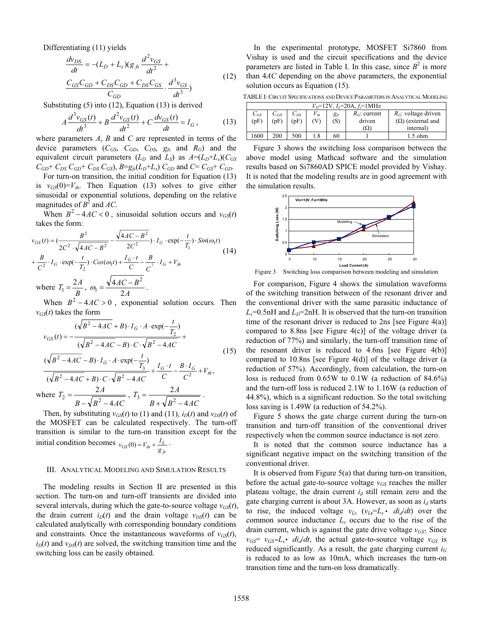$$
\frac{dv_{DS}}{dt} = -(L_D + L_s)(g_{fs}\frac{d^2v_{GS}}{dt^2} +
$$
  

$$
\frac{C_{GS}C_{GD} + C_{DS}C_{GD} + C_{DS}C_{GS}}{C_{GD}} \cdot \frac{d^3v_{GS}}{dt^3})
$$
(12)

Substituting (5) into (12), Equation (13) is derived

$$
A\frac{d^3v_{GS}(t)}{dt^3} + B\frac{d^2v_{GS}(t)}{dt^2} + C\frac{dv_{GS}(t)}{dt} = I_G,
$$
 (13)

where parameters *A*, *B* and *C* are represented in terms of the device parameters  $(C_{GS}, C_{GD}, C_{DS}, g_f$  and  $R_G$ ) and the equivalent circuit parameters  $(L_D \text{ and } L_S)$  as  $A=(L_D+L_S)(C_{GS})$  $C_{GD}$ +  $C_{DS}$   $C_{GD}$ +  $C_{DS}$   $C_{GS}$ ),  $B = g_f (L_D + L_s)$   $C_{GD}$  and  $C = C_{GS} + C_{GD}$ .

For turn-on transition, the initial condition for Equation (13) is  $v_{GS}(0) = V_{th}$ . Then Equation (13) solves to give either sinusoidal or exponential solutions, depending on the relative magnitudes of  $B^2$  and AC. and *AC*.

When  $B^2 - 4AC < 0$ , sinusoidal solution occurs and  $v_{GS}(t)$ takes the form:

$$
v_{GS}(t) = \left(\frac{B^2}{2C^2 \cdot \sqrt{4AC - B^2}} - \frac{\sqrt{4AC - B^2}}{2C^2}\right) \cdot I_G \cdot \exp(-\frac{t}{T_1}) \cdot \text{Sin}(\omega_1 t)
$$
  
+  $\frac{B}{C^2} \cdot I_G \cdot \exp(-\frac{t}{T_2}) \cdot \text{Cos}(\omega_1 t) + \frac{I_G \cdot t}{C} - \frac{B}{C^2} \cdot I_G + V_{th}$   
where  $T_1 = \frac{2A}{B}$ ,  $\omega_1 = \frac{\sqrt{4AC - B^2}}{2A}$ .

When  $B^2 - 4AC > 0$ , exponential solution occurs. Then  $v_{GS}(t)$  takes the form

$$
v_{GS}(t) = -\frac{(\sqrt{B^2 - 4AC} + B) \cdot I_G \cdot A \cdot \exp(-\frac{t}{T_2})}{(\sqrt{B^2 - 4AC} - B) \cdot C \cdot \sqrt{B^2 - 4AC}} + \frac{(\sqrt{B^2 - 4AC} - B) \cdot I_G \cdot A \cdot \exp(-\frac{t}{T_2})}{(\sqrt{B^2 - 4AC} - B) \cdot I_G \cdot A \cdot \exp(-\frac{t}{T_2})} \tag{15}
$$

$$
\frac{1}{(\sqrt{B^2 - 4AC} + B) \cdot C \cdot \sqrt{B^2 - 4AC}} + \frac{I_G \cdot t}{C} - \frac{B \cdot I_G}{C^2} + V_{th},
$$
  
where  $T_2 = \frac{2A}{B - \sqrt{B^2 - 4AC}}$ ,  $T_3 = \frac{2A}{B + \sqrt{B^2 - 4AC}}$ .

Then, by substituting  $v_{GS}(t)$  to (1) and (11),  $i_D(t)$  and  $v_{DS}(t)$  of the MOSFET can be calculated respectively. The turn-off transition is similar to the turn-on transition except for the initial condition becomes  $V_{GS}(0) = V_{th} + \frac{I_L}{g_{fs}}$ 

### III. ANALYTICAL MODELING AND SIMULATION RESULTS

The modeling results in Section II are presented in this section. The turn-on and turn-off transients are divided into several intervals, during which the gate-to-source voltage  $v_{GS}(t)$ , the drain current  $i_D(t)$  and the drain voltage  $v_{DS}(t)$  can be calculated analytically with corresponding boundary conditions and constraints. Once the instantaneous waveforms of  $v_{GS}(t)$ ,  $i_D(t)$  and  $v_{DS}(t)$  are solved, the switching transition time and the switching loss can be easily obtained.

Differentiating (11) yields In the experimental prototype, MOSFET Si7860 from Vishay is used and the circuit specifications and the device parameters are listed in Table I. In this case, since  $B^2$  is more than 4*AC* depending on the above parameters, the exponential solution occurs as Equation (15).

TABLE I: CIRCUIT SPECIFICATIONS AND DEVICE PARAMETERS IN ANALYTICAL MODELING

| $V_D = 12V$ , $I_L = 20A$ , $f_s = 1MHz$ |          |          |          |                                            |                 |                          |  |  |  |
|------------------------------------------|----------|----------|----------|--------------------------------------------|-----------------|--------------------------|--|--|--|
| $C_{GS}$                                 | $C_{GD}$ | $C_{DS}$ | $V_{th}$ | $g_{\scriptscriptstyle f\hspace{-0.8pt}s}$ | $R_G$ : current | $R_G$ : voltage driven   |  |  |  |
| (pF)                                     | (pF)     | (pF)     |          | (S)                                        | driven          | $(\Omega)$ (external and |  |  |  |
|                                          |          |          |          |                                            | (Ω)             | internal)                |  |  |  |
| 600                                      | 200      | 500      |          | 60                                         |                 | 1.5 ohm                  |  |  |  |

Figure 3 shows the switching loss comparison between the above model using Mathcad software and the simulation results based on Si7860AD SPICE model provided by Vishay. It is noted that the modeling results are in good agreement with the simulation results.



Figure 3 Switching loss comparison between modeling and simulation

For comparison, Figure 4 shows the simulation waveforms of the switching transition between of the resonant driver and the conventional driver with the same parasitic inductance of  $L_s$ =0.5nH and  $L_p$ =2nH. It is observed that the turn-on transition time of the resonant driver is reduced to 2ns [see Figure 4(a)] compared to 8.8ns [see Figure 4(c)] of the voltage driver (a reduction of 77%) and similarly, the turn-off transition time of the resonant driver is reduced to 4.6ns [see Figure 4(b)] compared to 10.8ns [see Figure 4(d)] of the voltage driver (a reduction of 57%). Accordingly, from calculation, the turn-on loss is reduced from 0.65W to 0.1W (a reduction of 84.6%) and the turn-off loss is reduced 2.1W to 1.16W (a reduction of 44.8%), which is a significant reduction. So the total switching loss saving is 1.49W (a reduction of 54.2%).

Figure 5 shows the gate charge current during the turn-on transition and turn-off transition of the conventional driver respectively when the common source inductance is not zero.

It is noted that the common source inductance has a significant negative impact on the switching transition of the conventional driver.

It is observed from Figure 5(a) that during turn-on transition, before the actual gate-to-source voltage  $v_{GS}$  reaches the miller plateau voltage, the drain current  $i_d$  still remain zero and the gate charging current is about 3A. However, as soon as  $i_d$  starts to rise, the induced voltage  $v_{Ls}$  ( $v_{Ls} = L_s \cdot di_d/dt$ ) over the common source inductance  $L<sub>s</sub>$  occurs due to the rise of the drain current, which is against the gate drive voltage  $v_{GS}$ <sup>2</sup>. Since  $v_{GS} = v_{GS'} - L_s \cdot di/dt$ , the actual gate-to-source voltage  $v_{GS}$  is reduced significantly. As a result, the gate charging current  $i_G$ is reduced to as low as 10mA, which increases the turn-on transition time and the turn-on loss dramatically.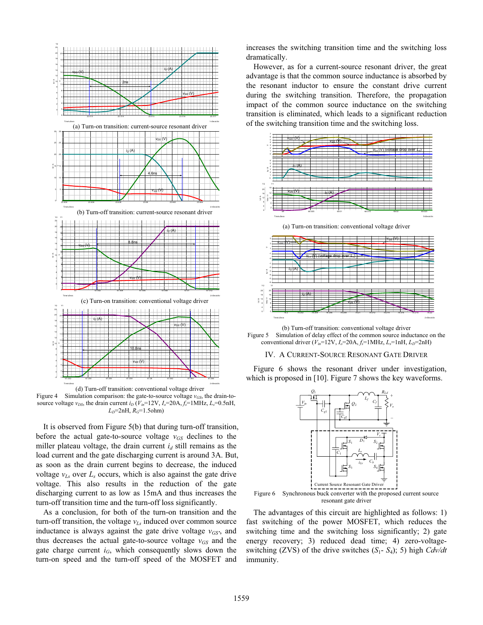

Figure 4 Simulation comparison: the gate-to-source voltage  $v_{GS}$ , the drain-tosource voltage  $v_{DS}$ , the drain current *i<sub>D</sub>* (*V<sub>in</sub>*=12V, *I<sub>o</sub>*=20A, *f<sub>s</sub>*=1MHz, *L<sub>s</sub>*=0.5nH,  $L<sub>D</sub>=2nH, R<sub>G</sub>=1.5ohm)$ 

It is observed from Figure 5(b) that during turn-off transition, before the actual gate-to-source voltage  $v_{GS}$  declines to the miller plateau voltage, the drain current  $i_d$  still remains as the load current and the gate discharging current is around 3A. But, as soon as the drain current begins to decrease, the induced voltage  $v_{Ls}$  over  $L_s$  occurs, which is also against the gate drive voltage. This also results in the reduction of the gate discharging current to as low as 15mA and thus increases the turn-off transition time and the turn-off loss significantly.

As a conclusion, for both of the turn-on transition and the turn-off transition, the voltage  $v_{Ls}$  induced over common source inductance is always against the gate drive voltage  $v_{GS}$ <sup>*n*</sup>, and thus decreases the actual gate-to-source voltage  $v_{GS}$  and the gate charge current  $i_G$ , which consequently slows down the turn-on speed and the turn-off speed of the MOSFET and increases the switching transition time and the switching loss dramatically.

However, as for a current-source resonant driver, the great advantage is that the common source inductance is absorbed by the resonant inductor to ensure the constant drive current during the switching transition. Therefore, the propagation impact of the common source inductance on the switching transition is eliminated, which leads to a significant reduction of the switching transition time and the switching loss.





## IV. A CURRENT-SOURCE RESONANT GATE DRIVER

Figure 6 shows the resonant driver under investigation, which is proposed in [10]. Figure 7 shows the key waveforms.



The advantages of this circuit are highlighted as follows: 1) fast switching of the power MOSFET, which reduces the switching time and the switching loss significantly; 2) gate energy recovery; 3) reduced dead time; 4) zero-voltageswitching (ZVS) of the drive switches  $(S_1 - S_4)$ ; 5) high *Cdv/dt* immunity.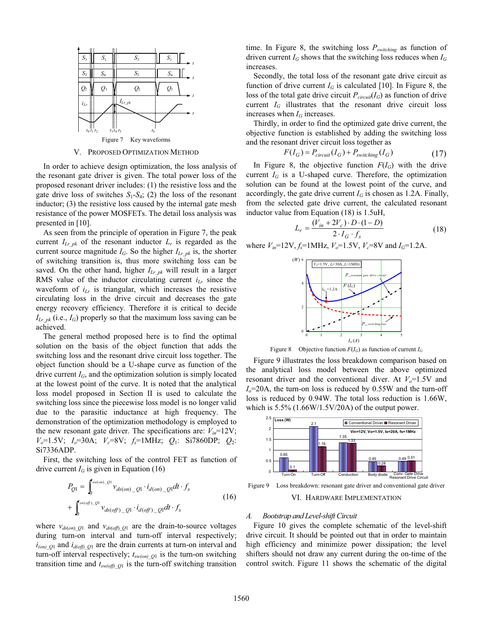

## V. PROPOSED OPTIMIZATION METHOD

In order to achieve design optimization, the loss analysis of the resonant gate driver is given. The total power loss of the proposed resonant driver includes: (1) the resistive loss and the gate drive loss of switches  $S_1-S_4$ ; (2) the loss of the resonant inductor; (3) the resistive loss caused by the internal gate mesh resistance of the power MOSFETs. The detail loss analysis was presented in [10].

As seen from the principle of operation in Figure 7, the peak current  $I_{Lrpk}$  of the resonant inductor  $L_r$  is regarded as the current source magnitude  $I_G$ . So the higher  $I_{Lrpk}$  is, the shorter of switching transition is, thus more switching loss can be saved. On the other hand, higher  $I_{Lrpk}$  will result in a larger RMS value of the inductor circulating current *iLr* since the waveform of  $i_{Lr}$  is triangular, which increases the resistive circulating loss in the drive circuit and decreases the gate energy recovery efficiency. Therefore it is critical to decide  $I_{Lrpk}$  (i.e.,  $I_G$ ) properly so that the maximum loss saving can be achieved.

The general method proposed here is to find the optimal solution on the basis of the object function that adds the switching loss and the resonant drive circuit loss together. The object function should be a U-shape curve as function of the drive current *IG*, and the optimization solution is simply located at the lowest point of the curve. It is noted that the analytical loss model proposed in Section II is used to calculate the switching loss since the piecewise loss model is no longer valid due to the parasitic inductance at high frequency. The demonstration of the optimization methodology is employed to the new resonant gate driver. The specifications are:  $V_{in}$ =12V; *Vo*=1.5V; *Io*=30A; *Vc*=8V; *fs*=1MHz; *Q*1: Si7860DP; *Q*2: Si7336ADP.

First, the switching loss of the control FET as function of drive current  $I_G$  is given in Equation (16)

$$
P_{Q1} = \int_{0}^{s_{sv(on)}-Q1} v_{ds(on)} - Q1 \cdot i_{d(on)} - Q1 dt \cdot f_s
$$
  
+ 
$$
\int_{0}^{s_{sv(off)}-Q1} v_{ds(off)} - Q1 \cdot i_{d(off)} - Q1 dt \cdot f_s
$$
 (16)

where  $v_{ds(0)}$   $\Omega_1$  and  $v_{ds(0)}$   $\Omega_1$  are the drain-to-source voltages during turn-on interval and turn-off interval respectively;  $i_{(on)$ <sup>*Q*1</sup> and  $i_{d(off)$ <sup>*Q*1</sup> are the drain currents at turn-on interval and turn-off interval respectively;  $t_{sw(on)}$   $_{Q1}$  is the turn-on switching transition time and  $t_{sw(off)}$   $_{Q1}$  is the turn-off switching transition time. In Figure 8, the switching loss *Pswitching* as function of driven current  $I_G$  shows that the switching loss reduces when  $I_G$ increases.

Secondly, the total loss of the resonant gate drive circuit as function of drive current  $I_G$  is calculated [10]. In Figure 8, the loss of the total gate drive circuit  $P_{circuit}(I_G)$  as function of drive current  $I_G$  illustrates that the resonant drive circuit loss increases when  $I_G$  increases.

Thirdly, in order to find the optimized gate drive current, the objective function is established by adding the switching loss and the resonant driver circuit loss together as

$$
F(I_G) = P_{circuit}(I_G) + P_{switching}(I_G)
$$
\n(17)

In Figure 8, the objective function  $F(I_G)$  with the drive current  $I_G$  is a U-shaped curve. Therefore, the optimization solution can be found at the lowest point of the curve, and accordingly, the gate drive current  $I_G$  is chosen as 1.2A. Finally, from the selected gate drive current, the calculated resonant inductor value from Equation (18) is 1.5uH,

$$
L_r = \frac{(V_{in} + 2V_c) \cdot D \cdot (1 - D)}{2 \cdot I_G \cdot f_s}
$$
 (18)

where  $V_{in}$ =12V,  $f_s$ =1MHz,  $V_o$ =1.5V,  $V_c$ =8V and  $I_c$ =1.2A.



Figure 8 Objective function  $F(I_G)$  as function of current  $I_G$ 

Figure 9 illustrates the loss breakdown comparison based on the analytical loss model between the above optimized resonant driver and the conventional diver. At  $V<sub>o</sub>=1.5V$  and  $I<sub>o</sub>=20A$ , the turn-on loss is reduced by 0.55W and the turn-off loss is reduced by 0.94W. The total loss reduction is 1.66W, which is  $5.5\%$  (1.66W/1.5V/20A) of the output power.



Figure 9 Loss breakdown: resonant gate driver and conventional gate driver

t

VI. HARDWARE IMPLEMENTATION

# *A. Bootstrap and Level-shift Circuit*

Figure 10 gives the complete schematic of the level-shift drive circuit. It should be pointed out that in order to maintain high efficiency and minimize power dissipation; the level shifters should not draw any current during the on-time of the control switch. Figure 11 shows the schematic of the digital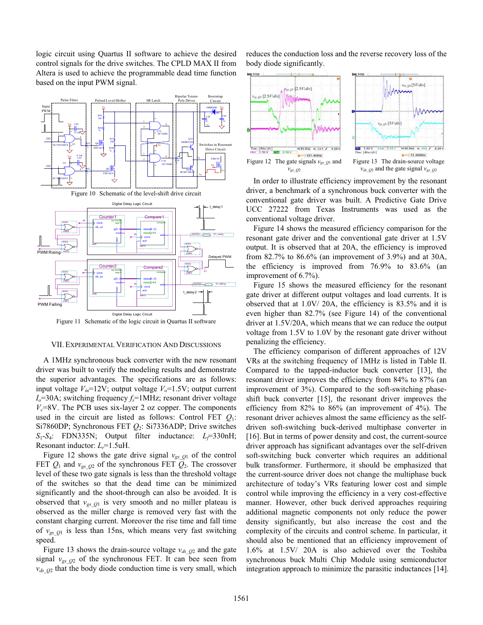logic circuit using Quartus II software to achieve the desired control signals for the drive switches. The CPLD MAX II from Altera is used to achieve the programmable dead time function based on the input PWM signal.



Figure 11 Schematic of the logic circuit in Quartus II software

### VII. EXPERIMENTAL VERIFICATION AND DISCUSSIONS

A 1MHz synchronous buck converter with the new resonant driver was built to verify the modeling results and demonstrate the superior advantages. The specifications are as follows: input voltage  $V_{in}$ =12V; output voltage  $V_o$ =1.5V; output current  $I<sub>o</sub>=30$ A; switching frequency  $f<sub>s</sub>=1$ MHz; resonant driver voltage  $V_c$ =8V. The PCB uses six-layer 2 oz copper. The components used in the circuit are listed as follows: Control FET *Q*1: Si7860DP; Synchronous FET *Q*2: Si7336ADP; Drive switches  $S_1-S_4$ : FDN335N; Output filter inductance:  $L_f=330$ nH; Resonant inductor:  $L<sub>r</sub>=1.5$ uH.

Figure 12 shows the gate drive signal  $v_{gsQ1}$  of the control FET  $Q_1$  and  $v_{gs}$   $q_2$  of the synchronous FET  $Q_2$ . The crossover level of these two gate signals is less than the threshold voltage of the switches so that the dead time can be minimized significantly and the shoot-through can also be avoided. It is observed that  $v_{gsQ1}$  is very smooth and no miller plateau is observed as the miller charge is removed very fast with the constant charging current. Moreover the rise time and fall time of  $v_{gsQ1}$  is less than 15ns, which means very fast switching speed.

Figure 13 shows the drain-source voltage  $v_{ds_2Q_2}$  and the gate signal  $v_{gs}$   $_{Q2}$  of the synchronous FET. It can bee seen from  $v_{dsQ2}$  that the body diode conduction time is very small, which reduces the conduction loss and the reverse recovery loss of the body diode significantly.



In order to illustrate efficiency improvement by the resonant driver, a benchmark of a synchronous buck converter with the conventional gate driver was built. A Predictive Gate Drive UCC 27222 from Texas Instruments was used as the conventional voltage driver.

Figure 14 shows the measured efficiency comparison for the resonant gate driver and the conventional gate driver at 1.5V output. It is observed that at 20A, the efficiency is improved from 82.7% to 86.6% (an improvement of 3.9%) and at 30A, the efficiency is improved from 76.9% to 83.6% (an improvement of 6.7%).

Figure 15 shows the measured efficiency for the resonant gate driver at different output voltages and load currents. It is observed that at 1.0V/ 20A, the efficiency is 83.5% and it is even higher than 82.7% (see Figure 14) of the conventional driver at 1.5V/20A, which means that we can reduce the output voltage from 1.5V to 1.0V by the resonant gate driver without penalizing the efficiency.

The efficiency comparison of different approaches of 12V VRs at the switching frequency of 1MHz is listed in Table II. Compared to the tapped-inductor buck converter [13], the resonant driver improves the efficiency from 84% to 87% (an improvement of 3%). Compared to the soft-switching phaseshift buck converter [15], the resonant driver improves the efficiency from 82% to 86% (an improvement of 4%). The resonant driver achieves almost the same efficiency as the selfdriven soft-switching buck-derived multiphase converter in [16]. But in terms of power density and cost, the current-source driver approach has significant advantages over the self-driven soft-switching buck converter which requires an additional bulk transformer. Furthermore, it should be emphasized that the current-source driver does not change the multiphase buck architecture of today's VRs featuring lower cost and simple control while improving the efficiency in a very cost-effective manner. However, other buck derived approaches requiring additional magnetic components not only reduce the power density significantly, but also increase the cost and the complexity of the circuits and control scheme. In particular, it should also be mentioned that an efficiency improvement of 1.6% at 1.5V/ 20A is also achieved over the Toshiba synchronous buck Multi Chip Module using semiconductor integration approach to minimize the parasitic inductances [14].